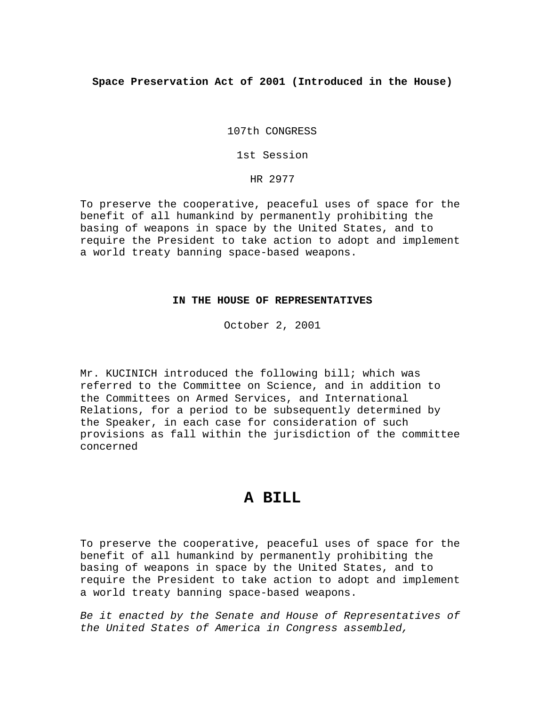### **Space Preservation Act of 2001 (Introduced in the House)**

107th CONGRESS

1st Session

HR 2977

To preserve the cooperative, peaceful uses of space for the benefit of all humankind by permanently prohibiting the basing of weapons in space by the United States, and to require the President to take action to adopt and implement a world treaty banning space-based weapons.

## **IN THE HOUSE OF REPRESENTATIVES**

October 2, 2001

Mr. KUCINICH introduced the following bill; which was referred to the Committee on Science, and in addition to the Committees on Armed Services, and International Relations, for a period to be subsequently determined by the Speaker, in each case for consideration of such provisions as fall within the jurisdiction of the committee concerned

# **A BILL**

To preserve the cooperative, peaceful uses of space for the benefit of all humankind by permanently prohibiting the basing of weapons in space by the United States, and to require the President to take action to adopt and implement a world treaty banning space-based weapons.

*Be it enacted by the Senate and House of Representatives of the United States of America in Congress assembled,*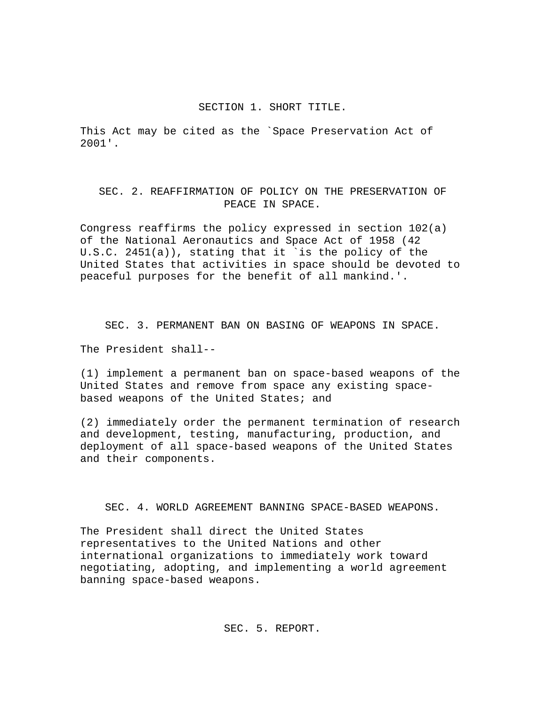#### SECTION 1. SHORT TITLE.

This Act may be cited as the `Space Preservation Act of 2001'.

## SEC. 2. REAFFIRMATION OF POLICY ON THE PRESERVATION OF PEACE IN SPACE.

Congress reaffirms the policy expressed in section 102(a) of the National Aeronautics and Space Act of 1958 (42 U.S.C. 2451(a)), stating that it `is the policy of the United States that activities in space should be devoted to peaceful purposes for the benefit of all mankind.'.

SEC. 3. PERMANENT BAN ON BASING OF WEAPONS IN SPACE.

The President shall--

(1) implement a permanent ban on space-based weapons of the United States and remove from space any existing spacebased weapons of the United States; and

(2) immediately order the permanent termination of research and development, testing, manufacturing, production, and deployment of all space-based weapons of the United States and their components.

SEC. 4. WORLD AGREEMENT BANNING SPACE-BASED WEAPONS.

The President shall direct the United States representatives to the United Nations and other international organizations to immediately work toward negotiating, adopting, and implementing a world agreement banning space-based weapons.

SEC. 5. REPORT.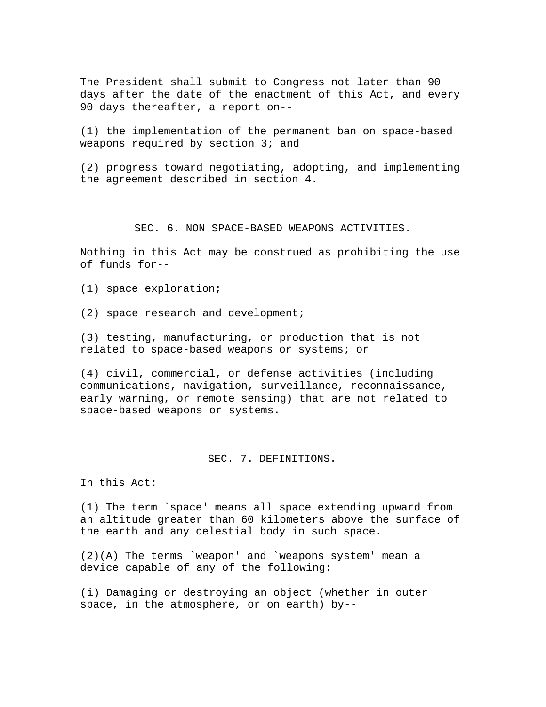The President shall submit to Congress not later than 90 days after the date of the enactment of this Act, and every 90 days thereafter, a report on--

(1) the implementation of the permanent ban on space-based weapons required by section 3; and

(2) progress toward negotiating, adopting, and implementing the agreement described in section 4.

SEC. 6. NON SPACE-BASED WEAPONS ACTIVITIES.

Nothing in this Act may be construed as prohibiting the use of funds for--

(1) space exploration;

(2) space research and development;

(3) testing, manufacturing, or production that is not related to space-based weapons or systems; or

(4) civil, commercial, or defense activities (including communications, navigation, surveillance, reconnaissance, early warning, or remote sensing) that are not related to space-based weapons or systems.

SEC. 7. DEFINITIONS.

In this Act:

(1) The term `space' means all space extending upward from an altitude greater than 60 kilometers above the surface of the earth and any celestial body in such space.

(2)(A) The terms `weapon' and `weapons system' mean a device capable of any of the following:

(i) Damaging or destroying an object (whether in outer space, in the atmosphere, or on earth) by--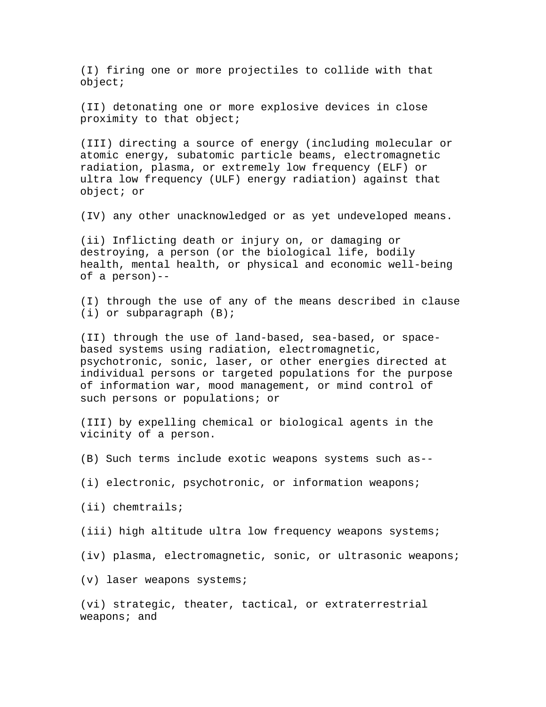(I) firing one or more projectiles to collide with that object;

(II) detonating one or more explosive devices in close proximity to that object;

(III) directing a source of energy (including molecular or atomic energy, subatomic particle beams, electromagnetic radiation, plasma, or extremely low frequency (ELF) or ultra low frequency (ULF) energy radiation) against that object; or

(IV) any other unacknowledged or as yet undeveloped means.

(ii) Inflicting death or injury on, or damaging or destroying, a person (or the biological life, bodily health, mental health, or physical and economic well-being of a person)--

(I) through the use of any of the means described in clause (i) or subparagraph (B);

(II) through the use of land-based, sea-based, or spacebased systems using radiation, electromagnetic, psychotronic, sonic, laser, or other energies directed at individual persons or targeted populations for the purpose of information war, mood management, or mind control of such persons or populations; or

(III) by expelling chemical or biological agents in the vicinity of a person.

(B) Such terms include exotic weapons systems such as--

(i) electronic, psychotronic, or information weapons;

(ii) chemtrails;

(iii) high altitude ultra low frequency weapons systems;

(iv) plasma, electromagnetic, sonic, or ultrasonic weapons;

(v) laser weapons systems;

(vi) strategic, theater, tactical, or extraterrestrial weapons; and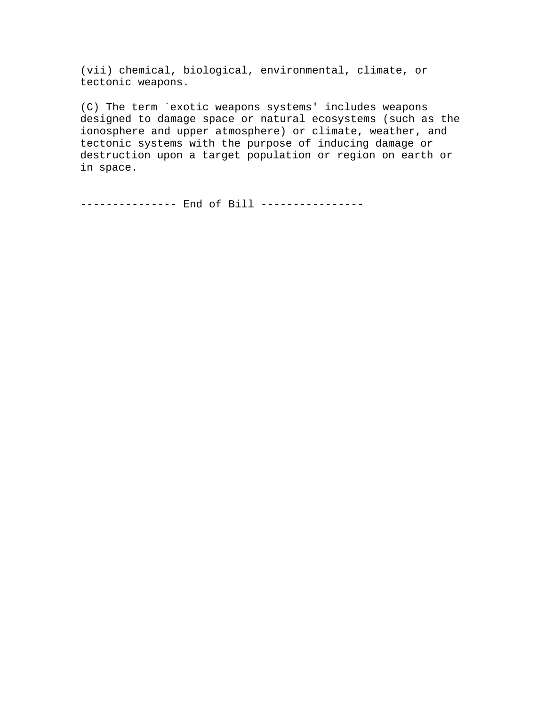(vii) chemical, biological, environmental, climate, or tectonic weapons.

(C) The term `exotic weapons systems' includes weapons designed to damage space or natural ecosystems (such as the ionosphere and upper atmosphere) or climate, weather, and tectonic systems with the purpose of inducing damage or destruction upon a target population or region on earth or in space.

-------------- End of Bill ---------------